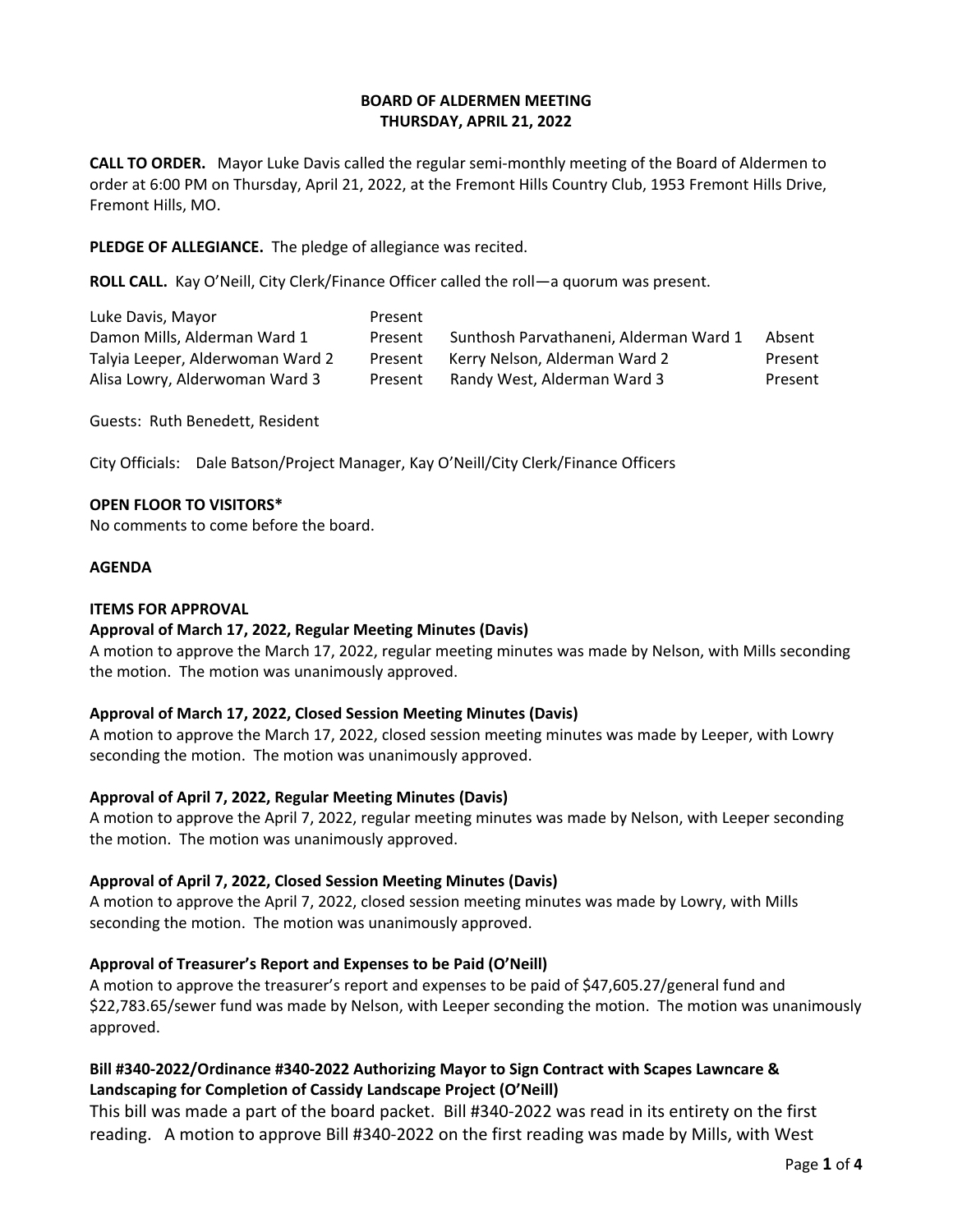## **BOARD OF ALDERMEN MEETING THURSDAY, APRIL 21, 2022**

**CALL TO ORDER.** Mayor Luke Davis called the regular semi-monthly meeting of the Board of Aldermen to order at 6:00 PM on Thursday, April 21, 2022, at the Fremont Hills Country Club, 1953 Fremont Hills Drive, Fremont Hills, MO.

**PLEDGE OF ALLEGIANCE.** The pledge of allegiance was recited.

**ROLL CALL.** Kay O'Neill, City Clerk/Finance Officer called the roll—a quorum was present.

| Luke Davis, Mayor                | Present |                                        |         |
|----------------------------------|---------|----------------------------------------|---------|
| Damon Mills, Alderman Ward 1     | Present | Sunthosh Parvathaneni, Alderman Ward 1 | Absent  |
| Talyia Leeper, Alderwoman Ward 2 | Present | Kerry Nelson, Alderman Ward 2          | Present |
| Alisa Lowry, Alderwoman Ward 3   | Present | Randy West, Alderman Ward 3            | Present |

Guests: Ruth Benedett, Resident

City Officials: Dale Batson/Project Manager, Kay O'Neill/City Clerk/Finance Officers

#### **OPEN FLOOR TO VISITORS\***

No comments to come before the board.

#### **AGENDA**

#### **ITEMS FOR APPROVAL**

## **Approval of March 17, 2022, Regular Meeting Minutes (Davis)**

A motion to approve the March 17, 2022, regular meeting minutes was made by Nelson, with Mills seconding the motion. The motion was unanimously approved.

## **Approval of March 17, 2022, Closed Session Meeting Minutes (Davis)**

A motion to approve the March 17, 2022, closed session meeting minutes was made by Leeper, with Lowry seconding the motion. The motion was unanimously approved.

## **Approval of April 7, 2022, Regular Meeting Minutes (Davis)**

A motion to approve the April 7, 2022, regular meeting minutes was made by Nelson, with Leeper seconding the motion. The motion was unanimously approved.

## **Approval of April 7, 2022, Closed Session Meeting Minutes (Davis)**

A motion to approve the April 7, 2022, closed session meeting minutes was made by Lowry, with Mills seconding the motion. The motion was unanimously approved.

## **Approval of Treasurer's Report and Expenses to be Paid (O'Neill)**

A motion to approve the treasurer's report and expenses to be paid of \$47,605.27/general fund and \$22,783.65/sewer fund was made by Nelson, with Leeper seconding the motion. The motion was unanimously approved.

# **Bill #340-2022/Ordinance #340-2022 Authorizing Mayor to Sign Contract with Scapes Lawncare & Landscaping for Completion of Cassidy Landscape Project (O'Neill)**

This bill was made a part of the board packet. Bill #340-2022 was read in its entirety on the first reading. A motion to approve Bill #340-2022 on the first reading was made by Mills, with West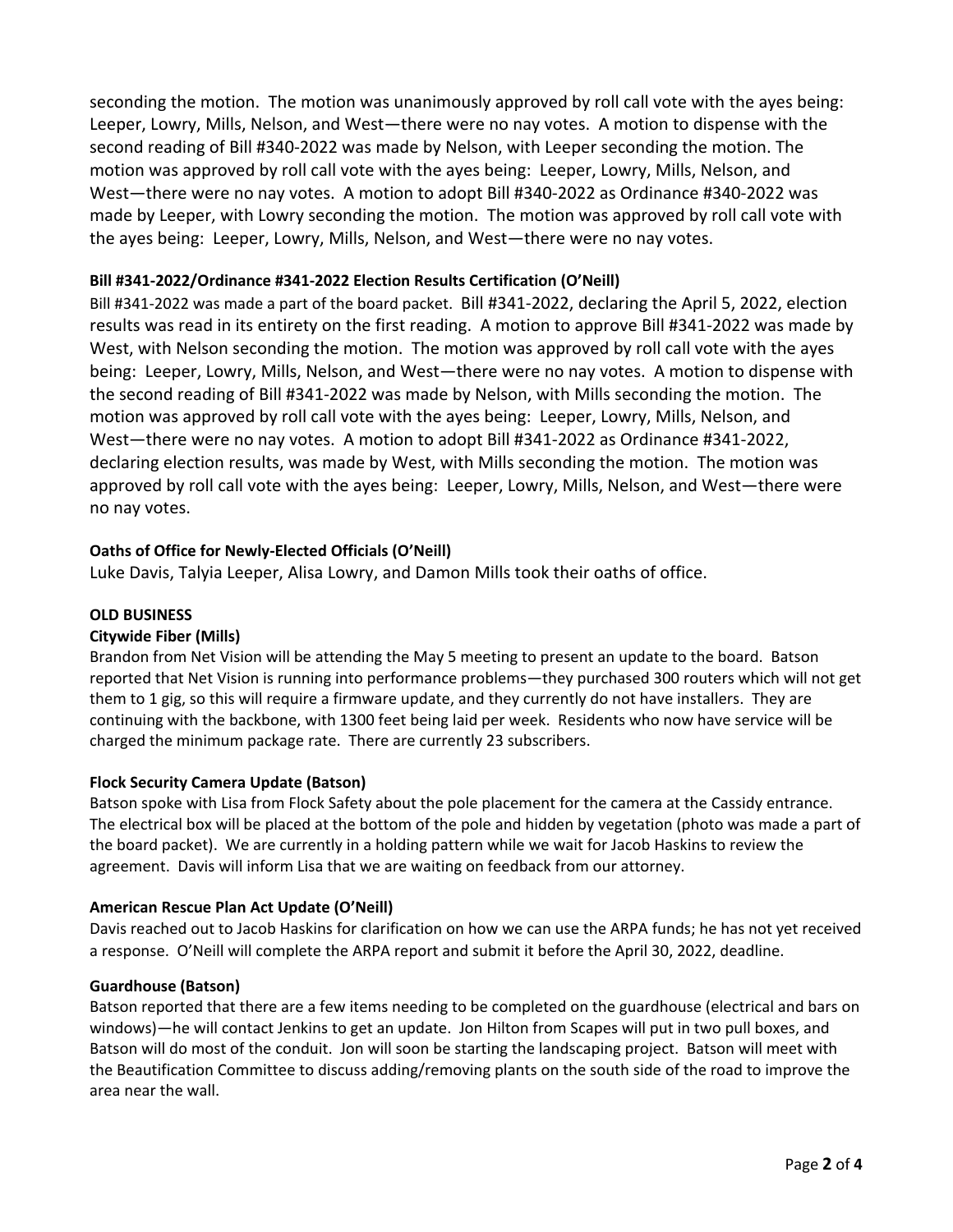seconding the motion. The motion was unanimously approved by roll call vote with the ayes being: Leeper, Lowry, Mills, Nelson, and West—there were no nay votes. A motion to dispense with the second reading of Bill #340-2022 was made by Nelson, with Leeper seconding the motion. The motion was approved by roll call vote with the ayes being: Leeper, Lowry, Mills, Nelson, and West—there were no nay votes. A motion to adopt Bill #340-2022 as Ordinance #340-2022 was made by Leeper, with Lowry seconding the motion. The motion was approved by roll call vote with the ayes being: Leeper, Lowry, Mills, Nelson, and West—there were no nay votes.

# **Bill #341-2022/Ordinance #341-2022 Election Results Certification (O'Neill)**

Bill #341-2022 was made a part of the board packet. Bill #341-2022, declaring the April 5, 2022, election results was read in its entirety on the first reading. A motion to approve Bill #341-2022 was made by West, with Nelson seconding the motion. The motion was approved by roll call vote with the ayes being: Leeper, Lowry, Mills, Nelson, and West—there were no nay votes. A motion to dispense with the second reading of Bill #341-2022 was made by Nelson, with Mills seconding the motion. The motion was approved by roll call vote with the ayes being: Leeper, Lowry, Mills, Nelson, and West—there were no nay votes. A motion to adopt Bill #341-2022 as Ordinance #341-2022, declaring election results, was made by West, with Mills seconding the motion. The motion was approved by roll call vote with the ayes being: Leeper, Lowry, Mills, Nelson, and West—there were no nay votes.

# **Oaths of Office for Newly-Elected Officials (O'Neill)**

Luke Davis, Talyia Leeper, Alisa Lowry, and Damon Mills took their oaths of office.

## **OLD BUSINESS**

## **Citywide Fiber (Mills)**

Brandon from Net Vision will be attending the May 5 meeting to present an update to the board. Batson reported that Net Vision is running into performance problems—they purchased 300 routers which will not get them to 1 gig, so this will require a firmware update, and they currently do not have installers. They are continuing with the backbone, with 1300 feet being laid per week. Residents who now have service will be charged the minimum package rate. There are currently 23 subscribers.

## **Flock Security Camera Update (Batson)**

Batson spoke with Lisa from Flock Safety about the pole placement for the camera at the Cassidy entrance. The electrical box will be placed at the bottom of the pole and hidden by vegetation (photo was made a part of the board packet). We are currently in a holding pattern while we wait for Jacob Haskins to review the agreement. Davis will inform Lisa that we are waiting on feedback from our attorney.

## **American Rescue Plan Act Update (O'Neill)**

Davis reached out to Jacob Haskins for clarification on how we can use the ARPA funds; he has not yet received a response. O'Neill will complete the ARPA report and submit it before the April 30, 2022, deadline.

#### **Guardhouse (Batson)**

Batson reported that there are a few items needing to be completed on the guardhouse (electrical and bars on windows)—he will contact Jenkins to get an update. Jon Hilton from Scapes will put in two pull boxes, and Batson will do most of the conduit. Jon will soon be starting the landscaping project. Batson will meet with the Beautification Committee to discuss adding/removing plants on the south side of the road to improve the area near the wall.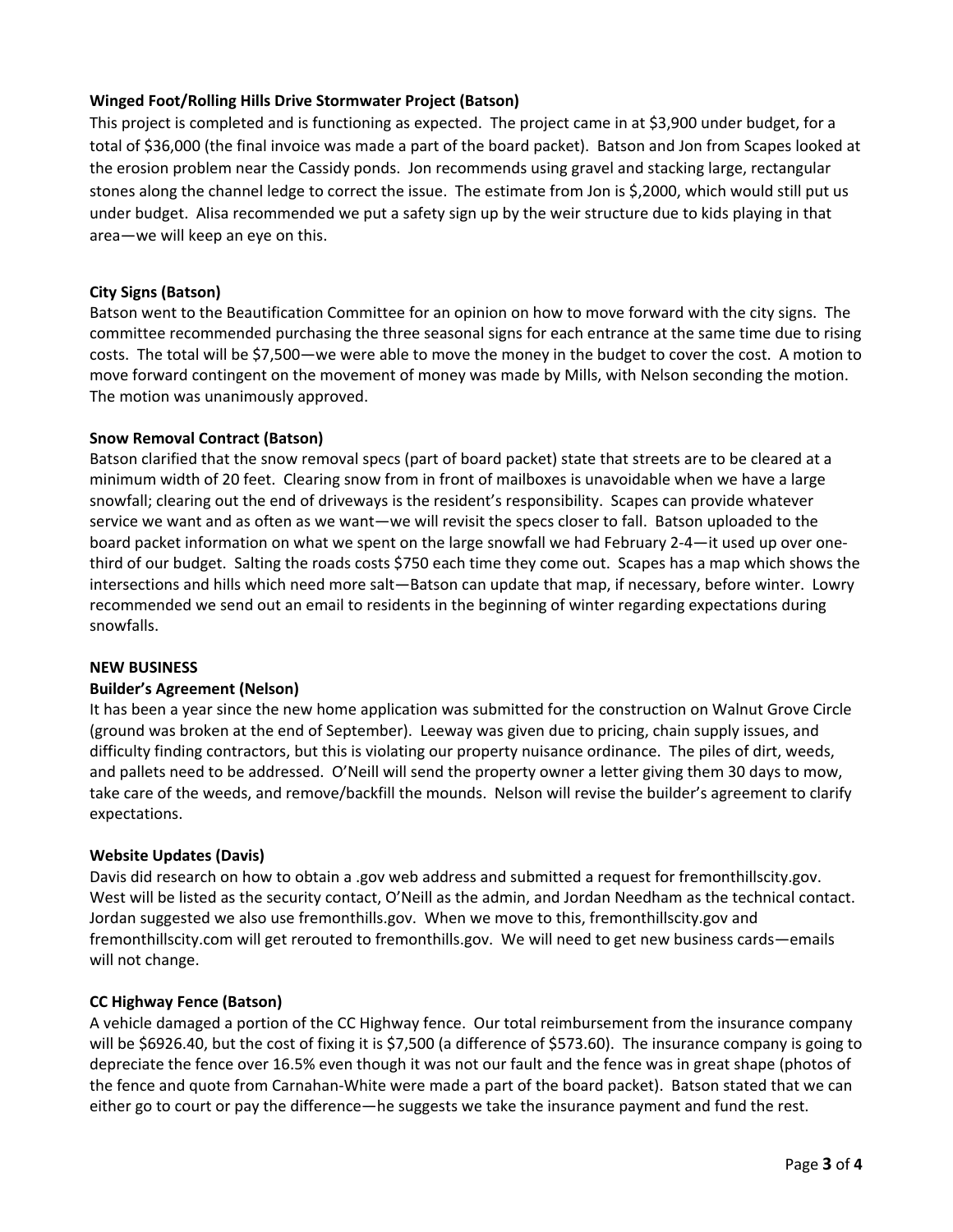## **Winged Foot/Rolling Hills Drive Stormwater Project (Batson)**

This project is completed and is functioning as expected. The project came in at \$3,900 under budget, for a total of \$36,000 (the final invoice was made a part of the board packet). Batson and Jon from Scapes looked at the erosion problem near the Cassidy ponds. Jon recommends using gravel and stacking large, rectangular stones along the channel ledge to correct the issue. The estimate from Jon is \$,2000, which would still put us under budget. Alisa recommended we put a safety sign up by the weir structure due to kids playing in that area—we will keep an eye on this.

## **City Signs (Batson)**

Batson went to the Beautification Committee for an opinion on how to move forward with the city signs. The committee recommended purchasing the three seasonal signs for each entrance at the same time due to rising costs. The total will be \$7,500—we were able to move the money in the budget to cover the cost. A motion to move forward contingent on the movement of money was made by Mills, with Nelson seconding the motion. The motion was unanimously approved.

## **Snow Removal Contract (Batson)**

Batson clarified that the snow removal specs (part of board packet) state that streets are to be cleared at a minimum width of 20 feet. Clearing snow from in front of mailboxes is unavoidable when we have a large snowfall; clearing out the end of driveways is the resident's responsibility. Scapes can provide whatever service we want and as often as we want—we will revisit the specs closer to fall. Batson uploaded to the board packet information on what we spent on the large snowfall we had February 2-4—it used up over onethird of our budget. Salting the roads costs \$750 each time they come out. Scapes has a map which shows the intersections and hills which need more salt—Batson can update that map, if necessary, before winter. Lowry recommended we send out an email to residents in the beginning of winter regarding expectations during snowfalls.

## **NEW BUSINESS**

## **Builder's Agreement (Nelson)**

It has been a year since the new home application was submitted for the construction on Walnut Grove Circle (ground was broken at the end of September). Leeway was given due to pricing, chain supply issues, and difficulty finding contractors, but this is violating our property nuisance ordinance. The piles of dirt, weeds, and pallets need to be addressed. O'Neill will send the property owner a letter giving them 30 days to mow, take care of the weeds, and remove/backfill the mounds. Nelson will revise the builder's agreement to clarify expectations.

## **Website Updates (Davis)**

Davis did research on how to obtain a .gov web address and submitted a request for fremonthillscity.gov. West will be listed as the security contact, O'Neill as the admin, and Jordan Needham as the technical contact. Jordan suggested we also use fremonthills.gov. When we move to this, fremonthillscity.gov and fremonthillscity.com will get rerouted to fremonthills.gov. We will need to get new business cards—emails will not change.

## **CC Highway Fence (Batson)**

A vehicle damaged a portion of the CC Highway fence. Our total reimbursement from the insurance company will be \$6926.40, but the cost of fixing it is \$7,500 (a difference of \$573.60). The insurance company is going to depreciate the fence over 16.5% even though it was not our fault and the fence was in great shape (photos of the fence and quote from Carnahan-White were made a part of the board packet). Batson stated that we can either go to court or pay the difference—he suggests we take the insurance payment and fund the rest.